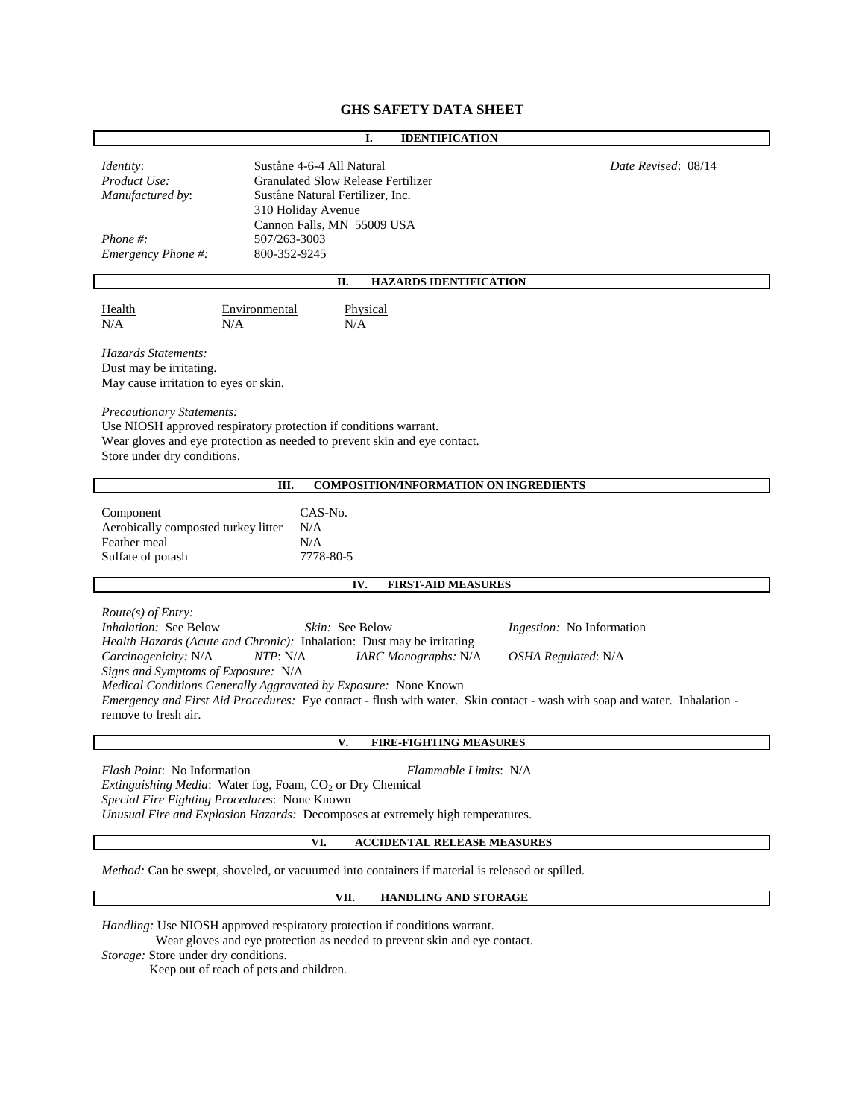# **GHS SAFETY DATA SHEET**

# **I. IDENTIFICATION** *Identity*: Suståne 4-6-4 All Natural *Date Revised*: 08/14 *Product Use:* Granulated Slow Release Fertilizer *Manufactured by*: Suståne Natural Fertilizer, Inc. 310 Holiday Avenue Cannon Falls, MN 55009 USA *Phone #:* 507/263-3003 *Emergency Phone #:* 800-352-9245 **II. HAZARDS IDENTIFICATION** Health Environmental Physical N/A N/A N/A *Hazards Statements:* Dust may be irritating. May cause irritation to eyes or skin. *Precautionary Statements:* Use NIOSH approved respiratory protection if conditions warrant. Wear gloves and eye protection as needed to prevent skin and eye contact. Store under dry conditions. **III. COMPOSITION/INFORMATION ON INGREDIENTS** Component CAS-No. Aerobically composted turkey litter  $N/A$ Feather meal N/A Sulfate of potash 7778-80-5 **IV. FIRST-AID MEASURES** *Route(s) of Entry: Inhalation:* See Below *Skin:* See Below *Ingestion:* No Information *Health Hazards (Acute and Chronic):* Inhalation: Dust may be irritating *Carcinogenicity:* N/A *NTP*: N/A *IARC Monographs:* N/A *OSHA Regulated*: N/A *Signs and Symptoms of Exposure:* N/A *Medical Conditions Generally Aggravated by Exposure:* None Known *Emergency and First Aid Procedures:* Eye contact - flush with water. Skin contact - wash with soap and water. Inhalation remove to fresh air. **V. FIRE-FIGHTING MEASURES** *Flash Point*: No Information *Flammable Limits*: N/A *Extinguishing Media:* Water fog, Foam, CO<sub>2</sub> or Dry Chemical *Special Fire Fighting Procedures*: None Known *Unusual Fire and Explosion Hazards:* Decomposes at extremely high temperatures. **VI. ACCIDENTAL RELEASE MEASURES**

*Method:* Can be swept, shoveled, or vacuumed into containers if material is released or spilled.

#### **VII. HANDLING AND STORAGE**

*Handling:* Use NIOSH approved respiratory protection if conditions warrant.

Wear gloves and eye protection as needed to prevent skin and eye contact.

*Storage:* Store under dry conditions.

Keep out of reach of pets and children.